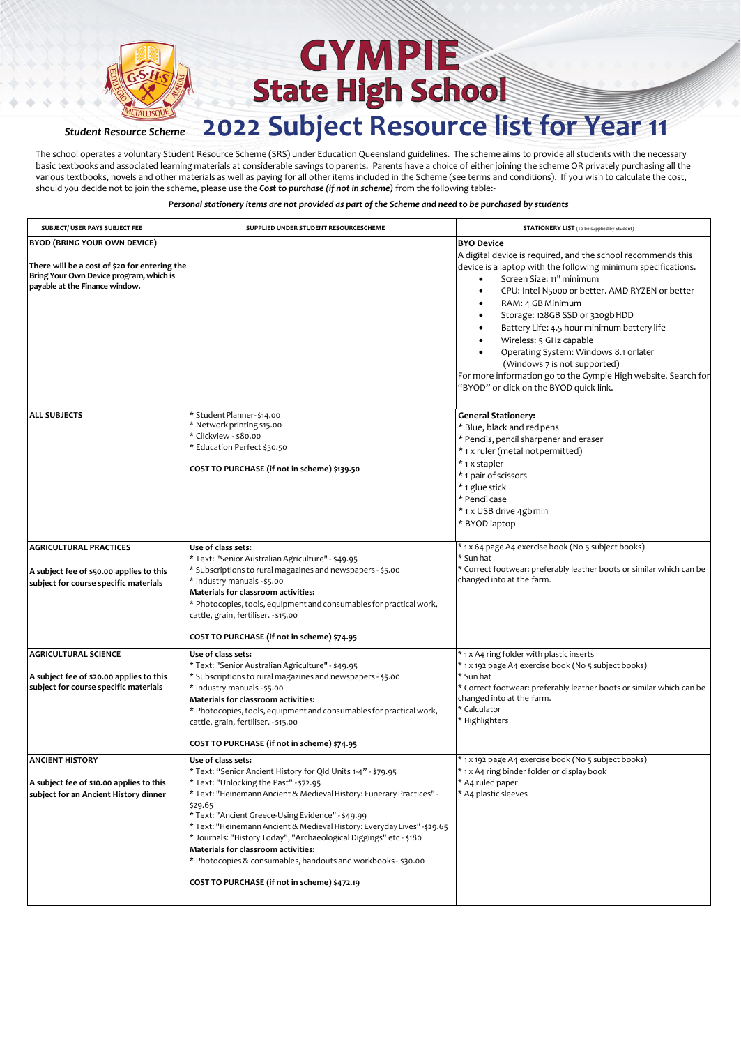

The school operates a voluntary Student Resource Scheme (SRS) under Education Queensland guidelines. The scheme aims to provide all students with the necessary basic textbooks and associated learning materials at considerable savings to parents. Parents have a choice of either joining the scheme OR privately purchasing all the various textbooks, novels and other materials as well as paying for all other items included in the Scheme (see terms and conditions). If you wish to calculate the cost, should you decide not to join the scheme, please use the *Cost to purchase (if not in scheme)* from the following table:-

| SUBJECT/ USER PAYS SUBJECT FEE                                                    | SUPPLIED UNDER STUDENT RESOURCESCHEME                                                                                         | <b>STATIONERY LIST</b> (To be supplied by Student)                                                                                                                                                                                                                                                                                                                                                                |
|-----------------------------------------------------------------------------------|-------------------------------------------------------------------------------------------------------------------------------|-------------------------------------------------------------------------------------------------------------------------------------------------------------------------------------------------------------------------------------------------------------------------------------------------------------------------------------------------------------------------------------------------------------------|
| BYOD (BRING YOUR OWN DEVICE)<br>There will be a cost of \$20 for entering the     |                                                                                                                               | <b>BYO Device</b><br>A digital device is required, and the school recommends this<br>device is a laptop with the following minimum specifications.                                                                                                                                                                                                                                                                |
| Bring Your Own Device program, which is<br>payable at the Finance window.         |                                                                                                                               | Screen Size: 11" minimum<br>$\bullet$<br>CPU: Intel N5000 or better. AMD RYZEN or better<br>RAM: 4 GB Minimum<br>Storage: 128GB SSD or 320gb HDD<br>Battery Life: 4.5 hour minimum battery life<br>Wireless: 5 GHz capable<br>Operating System: Windows 8.1 or later<br>(Windows 7 is not supported)<br>For more information go to the Gympie High website. Search for<br>"BYOD" or click on the BYOD quick link. |
| <b>ALL SUBJECTS</b>                                                               | * Student Planner-\$14.00                                                                                                     | <b>General Stationery:</b>                                                                                                                                                                                                                                                                                                                                                                                        |
|                                                                                   | * Network printing \$15.00<br>* Clickview - \$80.00                                                                           | * Blue, black and redpens<br>* Pencils, pencil sharpener and eraser                                                                                                                                                                                                                                                                                                                                               |
|                                                                                   | * Education Perfect \$30.50                                                                                                   | *1 x ruler (metal not permitted)                                                                                                                                                                                                                                                                                                                                                                                  |
|                                                                                   | COST TO PURCHASE (if not in scheme) \$139.50                                                                                  | * 1 x stapler                                                                                                                                                                                                                                                                                                                                                                                                     |
|                                                                                   |                                                                                                                               | * 1 pair of scissors                                                                                                                                                                                                                                                                                                                                                                                              |
|                                                                                   |                                                                                                                               | * 1 glue stick<br>* Pencil case                                                                                                                                                                                                                                                                                                                                                                                   |
|                                                                                   |                                                                                                                               | * 1 x USB drive 4gbmin                                                                                                                                                                                                                                                                                                                                                                                            |
|                                                                                   |                                                                                                                               | * BYOD laptop                                                                                                                                                                                                                                                                                                                                                                                                     |
| <b>AGRICULTURAL PRACTICES</b>                                                     | Use of class sets:                                                                                                            | * 1 x 64 page A4 exercise book (No 5 subject books)                                                                                                                                                                                                                                                                                                                                                               |
|                                                                                   | * Text: "Senior Australian Agriculture" - \$49.95<br>* Subscriptions to rural magazines and newspapers - \$5.00               | * Sun hat<br>* Correct footwear: preferably leather boots or similar which can be                                                                                                                                                                                                                                                                                                                                 |
| A subject fee of \$50.00 applies to this<br>subject for course specific materials | * Industry manuals - \$5.00                                                                                                   | changed into at the farm.                                                                                                                                                                                                                                                                                                                                                                                         |
|                                                                                   | Materials for classroom activities:                                                                                           |                                                                                                                                                                                                                                                                                                                                                                                                                   |
|                                                                                   | * Photocopies, tools, equipment and consumables for practical work,<br>cattle, grain, fertiliser. - \$15.00                   |                                                                                                                                                                                                                                                                                                                                                                                                                   |
|                                                                                   | COST TO PURCHASE (if not in scheme) \$74.95                                                                                   |                                                                                                                                                                                                                                                                                                                                                                                                                   |
| <b>AGRICULTURAL SCIENCE</b>                                                       | Use of class sets:                                                                                                            | * 1 x A4 ring folder with plastic inserts                                                                                                                                                                                                                                                                                                                                                                         |
| A subject fee of \$20.00 applies to this                                          | * Text: "Senior Australian Agriculture" - \$49.95<br>* Subscriptions to rural magazines and newspapers - \$5.00               | * 1 x 192 page A4 exercise book (No 5 subject books)<br>* Sun hat                                                                                                                                                                                                                                                                                                                                                 |
| subject for course specific materials                                             | * Industry manuals - \$5.00                                                                                                   | * Correct footwear: preferably leather boots or similar which can be                                                                                                                                                                                                                                                                                                                                              |
|                                                                                   | Materials for classroom activities:<br>* Photocopies, tools, equipment and consumables for practical work,                    | changed into at the farm.<br>* Calculator                                                                                                                                                                                                                                                                                                                                                                         |
|                                                                                   | cattle, grain, fertiliser. - \$15.00                                                                                          | * Highlighters                                                                                                                                                                                                                                                                                                                                                                                                    |
|                                                                                   | COST TO PURCHASE (if not in scheme) \$74.95                                                                                   |                                                                                                                                                                                                                                                                                                                                                                                                                   |
| <b>ANCIENT HISTORY</b>                                                            | Use of class sets:                                                                                                            | * 1 x 192 page A4 exercise book (No 5 subject books)                                                                                                                                                                                                                                                                                                                                                              |
| A subject fee of \$10.00 applies to this                                          | * Text: "Senior Ancient History for Qld Units 1-4" - \$79.95<br>* Text: "Unlocking the Past" - \$72.95                        | * 1 x A4 ring binder folder or display book<br>* A4 ruled paper                                                                                                                                                                                                                                                                                                                                                   |
| subject for an Ancient History dinner                                             | * Text: "Heinemann Ancient & Medieval History: Funerary Practices" -                                                          | * A4 plastic sleeves                                                                                                                                                                                                                                                                                                                                                                                              |
|                                                                                   | \$29.65                                                                                                                       |                                                                                                                                                                                                                                                                                                                                                                                                                   |
|                                                                                   | * Text: "Ancient Greece-Using Evidence" - \$49.99<br>* Text: "Heinemann Ancient & Medieval History: Everyday Lives" - \$29.65 |                                                                                                                                                                                                                                                                                                                                                                                                                   |
|                                                                                   | * Journals: "History Today", "Archaeological Diggings" etc - \$180                                                            |                                                                                                                                                                                                                                                                                                                                                                                                                   |
|                                                                                   | Materials for classroom activities:<br>* Photocopies & consumables, handouts and workbooks - \$30.00                          |                                                                                                                                                                                                                                                                                                                                                                                                                   |
|                                                                                   | COST TO PURCHASE (if not in scheme) \$472.19                                                                                  |                                                                                                                                                                                                                                                                                                                                                                                                                   |
|                                                                                   |                                                                                                                               |                                                                                                                                                                                                                                                                                                                                                                                                                   |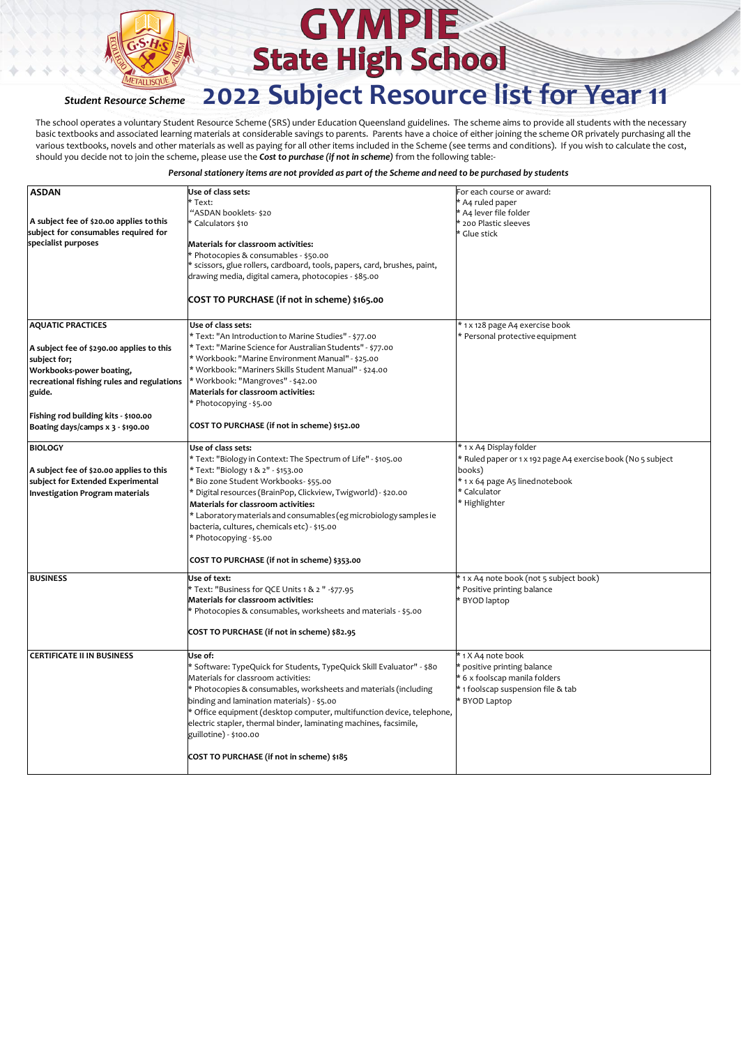

The school operates a voluntary Student Resource Scheme (SRS) under Education Queensland guidelines. The scheme aims to provide all students with the necessary basic textbooks and associated learning materials at considerable savings to parents. Parents have a choice of either joining the scheme OR privately purchasing all the various textbooks, novels and other materials as well as paying for all other items included in the Scheme (see terms and conditions). If you wish to calculate the cost, should you decide not to join the scheme, please use the *Cost to purchase (if not in scheme)* from the following table:-

| <b>ASDAN</b>                               | Use of class sets:<br>* Text:                                             | For each course or award:<br>* A4 ruled paper                |
|--------------------------------------------|---------------------------------------------------------------------------|--------------------------------------------------------------|
|                                            | "ASDAN booklets- \$20                                                     | * A4 lever file folder                                       |
| A subject fee of \$20.00 applies to this   | * Calculators \$10                                                        | * 200 Plastic sleeves                                        |
| subject for consumables required for       |                                                                           | * Glue stick                                                 |
| specialist purposes                        | Materials for classroom activities:                                       |                                                              |
|                                            | * Photocopies & consumables - \$50.00                                     |                                                              |
|                                            | * scissors, glue rollers, cardboard, tools, papers, card, brushes, paint, |                                                              |
|                                            | drawing media, digital camera, photocopies - \$85.00                      |                                                              |
|                                            |                                                                           |                                                              |
|                                            | COST TO PURCHASE (if not in scheme) \$165.00                              |                                                              |
| <b>AQUATIC PRACTICES</b>                   | Use of class sets:                                                        | * 1 x 128 page A4 exercise book                              |
|                                            | * Text: "An Introduction to Marine Studies" - \$77.00                     | * Personal protective equipment                              |
| A subject fee of \$290.00 applies to this  | * Text: "Marine Science for Australian Students" - \$77.00                |                                                              |
| subject for;                               | * Workbook: "Marine Environment Manual" - \$25.00                         |                                                              |
| Workbooks-power boating,                   | * Workbook: "Mariners Skills Student Manual" - \$24.00                    |                                                              |
| recreational fishing rules and regulations | * Workbook: "Mangroves" - \$42.00                                         |                                                              |
| guide.                                     | Materials for classroom activities:                                       |                                                              |
|                                            | * Photocopying - \$5.00                                                   |                                                              |
| Fishing rod building kits - \$100.00       |                                                                           |                                                              |
| Boating days/camps x 3 - \$190.00          | COST TO PURCHASE (if not in scheme) \$152.00                              |                                                              |
| <b>BIOLOGY</b>                             | Use of class sets:                                                        | * 1 x A4 Display folder                                      |
|                                            | * Text: "Biology in Context: The Spectrum of Life" - \$105.00             | * Ruled paper or 1 x 192 page A4 exercise book (No 5 subject |
| A subject fee of \$20.00 applies to this   | * Text: "Biology 1 & 2" - \$153.00                                        | books)                                                       |
| subject for Extended Experimental          | * Bio zone Student Workbooks- \$55.00                                     | * 1 x 64 page A5 linednotebook                               |
| <b>Investigation Program materials</b>     | * Digital resources (BrainPop, Clickview, Twigworld) - \$20.00            | * Calculator                                                 |
|                                            | Materials for classroom activities:                                       | * Highlighter                                                |
|                                            |                                                                           |                                                              |
|                                            | * Laboratory materials and consumables (eg microbiology samples ie        |                                                              |
|                                            | bacteria, cultures, chemicals etc) - \$15.00                              |                                                              |
|                                            | * Photocopying - \$5.00                                                   |                                                              |
|                                            | COST TO PURCHASE (if not in scheme) \$353.00                              |                                                              |
| <b>BUSINESS</b>                            | Use of text:                                                              | * 1 x A4 note book (not 5 subject book)                      |
|                                            | * Text: "Business for QCE Units 1 & 2 " -\$77.95                          | * Positive printing balance                                  |
|                                            | Materials for classroom activities:                                       | * BYOD laptop                                                |
|                                            | * Photocopies & consumables, worksheets and materials - \$5.00            |                                                              |
|                                            | COST TO PURCHASE (if not in scheme) \$82.95                               |                                                              |
|                                            |                                                                           |                                                              |
| <b>CERTIFICATE II IN BUSINESS</b>          | Use of:                                                                   | * 1 X A4 note book                                           |
|                                            | * Software: TypeQuick for Students, TypeQuick Skill Evaluator" - \$80     | * positive printing balance                                  |
|                                            | Materials for classroom activities:                                       | * 6 x foolscap manila folders                                |
|                                            | * Photocopies & consumables, worksheets and materials (including          | * 1 foolscap suspension file & tab                           |
|                                            | binding and lamination materials) - \$5.00                                | * BYOD Laptop                                                |
|                                            | * Office equipment (desktop computer, multifunction device, telephone,    |                                                              |
|                                            | electric stapler, thermal binder, laminating machines, facsimile,         |                                                              |
|                                            | guillotine) - \$100.00                                                    |                                                              |
|                                            |                                                                           |                                                              |
|                                            | COST TO PURCHASE (if not in scheme) \$185                                 |                                                              |
|                                            |                                                                           |                                                              |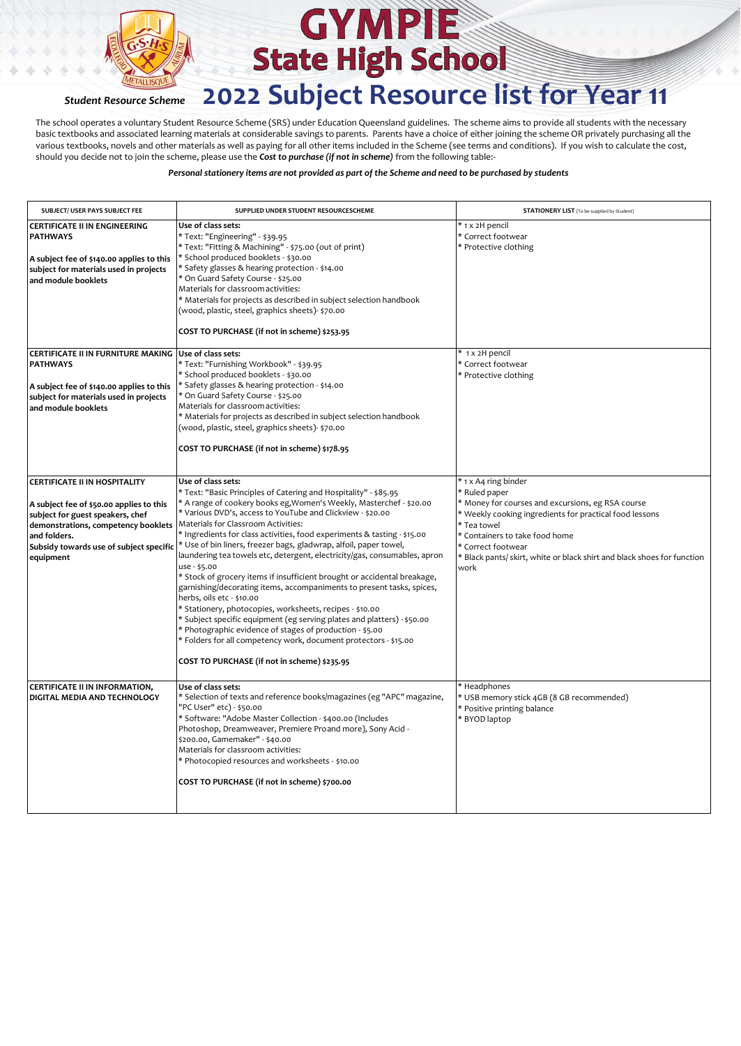

# **GYMPIE State High School**

### *Student Resource Scheme* **2022 Subject Resource list for Year 11**

The school operates a voluntary Student Resource Scheme (SRS) under Education Queensland guidelines. The scheme aims to provide all students with the necessary basic textbooks and associated learning materials at considerable savings to parents. Parents have a choice of either joining the scheme OR privately purchasing all the various textbooks, novels and other materials as well as paying for all other items included in the Scheme (see terms and conditions). If you wish to calculate the cost, should you decide not to join the scheme, please use the *Cost to purchase (if not in scheme)* from the following table:-

| SUBJECT/ USER PAYS SUBJECT FEE                                                                                                                                                                                               | SUPPLIED UNDER STUDENT RESOURCESCHEME                                                                                                                                                                                                                                                                                                                                                                                                                                                                                                                                                                                                                                                                                                                                                                                                                                                                                                                                                                                     | <b>STATIONERY LIST</b> (To be supplied by Student)                                                                                                                                                                                                                                                              |
|------------------------------------------------------------------------------------------------------------------------------------------------------------------------------------------------------------------------------|---------------------------------------------------------------------------------------------------------------------------------------------------------------------------------------------------------------------------------------------------------------------------------------------------------------------------------------------------------------------------------------------------------------------------------------------------------------------------------------------------------------------------------------------------------------------------------------------------------------------------------------------------------------------------------------------------------------------------------------------------------------------------------------------------------------------------------------------------------------------------------------------------------------------------------------------------------------------------------------------------------------------------|-----------------------------------------------------------------------------------------------------------------------------------------------------------------------------------------------------------------------------------------------------------------------------------------------------------------|
| CERTIFICATE II IN ENGINEERING<br><b>PATHWAYS</b><br>A subject fee of \$140.00 applies to this<br>subject for materials used in projects<br>and module booklets                                                               | Use of class sets:<br>* Text: "Engineering" - \$39.95<br>* Text: "Fitting & Machining" - \$75.00 (out of print)<br>* School produced booklets - \$30.00<br>* Safety glasses & hearing protection - \$14.00<br>* On Guard Safety Course - \$25.00<br>Materials for classroom activities:<br>* Materials for projects as described in subject selection handbook<br>(wood, plastic, steel, graphics sheets)- \$70.00<br>COST TO PURCHASE (if not in scheme) \$253.95                                                                                                                                                                                                                                                                                                                                                                                                                                                                                                                                                        | * 1 x 2H pencil<br>* Correct footwear<br>* Protective clothing                                                                                                                                                                                                                                                  |
| CERTIFICATE II IN FURNITURE MAKING<br><b>PATHWAYS</b><br>A subject fee of \$140.00 applies to this<br>subject for materials used in projects<br>and module booklets                                                          | Use of class sets:<br>* Text: "Furnishing Workbook" - \$39.95<br>* School produced booklets - \$30.00<br>* Safety glasses & hearing protection - \$14.00<br>* On Guard Safety Course - \$25.00<br>Materials for classroom activities:<br>* Materials for projects as described in subject selection handbook<br>(wood, plastic, steel, graphics sheets)- \$70.00<br>COST TO PURCHASE (if not in scheme) \$178.95                                                                                                                                                                                                                                                                                                                                                                                                                                                                                                                                                                                                          | * 1 x 2H pencil<br>* Correct footwear<br>* Protective clothing                                                                                                                                                                                                                                                  |
| CERTIFICATE II IN HOSPITALITY<br>A subject fee of \$50.00 applies to this<br>subject for guest speakers, chef<br>demonstrations, competency booklets<br>and folders.<br>Subsidy towards use of subject specific<br>equipment | Use of class sets:<br>* Text: "Basic Principles of Catering and Hospitality" - \$85.95<br>* A range of cookery books eg, Women's Weekly, Masterchef - \$20.00<br>* Various DVD's, access to YouTube and Clickview - \$20.00<br>Materials for Classroom Activities:<br>* Ingredients for class activities, food experiments & tasting - \$15.00<br>* Use of bin liners, freezer bags, gladwrap, alfoil, paper towel,<br>laundering tea towels etc, detergent, electricity/gas, consumables, apron<br>use - \$5.00<br>* Stock of grocery items if insufficient brought or accidental breakage,<br>garnishing/decorating items, accompaniments to present tasks, spices,<br>herbs, oils etc - \$10.00<br>* Stationery, photocopies, worksheets, recipes - \$10.00<br>* Subject specific equipment (eg serving plates and platters) - \$50.00<br>* Photographic evidence of stages of production - \$5.00<br>* Folders for all competency work, document protectors - \$15.00<br>COST TO PURCHASE (if not in scheme) \$235.95 | * 1 x A4 ring binder<br>* Ruled paper<br>* Money for courses and excursions, eg RSA course<br>* Weekly cooking ingredients for practical food lessons<br>* Tea towel<br>* Containers to take food home<br>* Correct footwear<br>* Black pants/ skirt, white or black shirt and black shoes for function<br>work |
| CERTIFICATE II IN INFORMATION,<br>DIGITAL MEDIA AND TECHNOLOGY                                                                                                                                                               | Use of class sets:<br>* Selection of texts and reference books/magazines (eg "APC" magazine,<br>"PC User" etc) - \$50.00<br>* Software: "Adobe Master Collection - \$400.00 (Includes<br>Photoshop, Dreamweaver, Premiere Proand more), Sony Acid -<br>\$200.00, Gamemaker" - \$40.00<br>Materials for classroom activities:<br>* Photocopied resources and worksheets - \$10.00<br>COST TO PURCHASE (if not in scheme) \$700.00                                                                                                                                                                                                                                                                                                                                                                                                                                                                                                                                                                                          | * Headphones<br>* USB memory stick 4GB (8 GB recommended)<br>* Positive printing balance<br>* BYOD laptop                                                                                                                                                                                                       |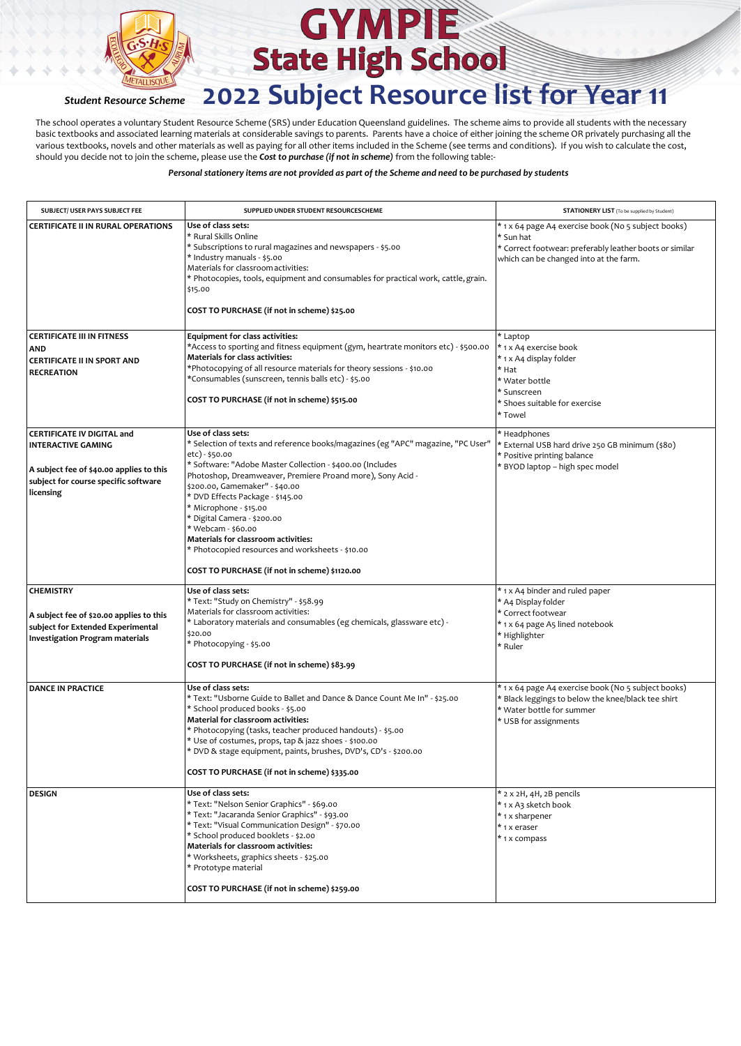

The school operates a voluntary Student Resource Scheme (SRS) under Education Queensland guidelines. The scheme aims to provide all students with the necessary basic textbooks and associated learning materials at considerable savings to parents. Parents have a choice of either joining the scheme OR privately purchasing all the various textbooks, novels and other materials as well as paying for all other items included in the Scheme (see terms and conditions). If you wish to calculate the cost, should you decide not to join the scheme, please use the *Cost to purchase (if not in scheme)* from the following table:-

| SUBJECT/ USER PAYS SUBJECT FEE                                                                                                                                  | SUPPLIED UNDER STUDENT RESOURCESCHEME                                                                                                                                                                                                                                                                                                                                                                                                                                                                                                                | <b>STATIONERY LIST</b> (To be supplied by Student)                                                                                                                    |
|-----------------------------------------------------------------------------------------------------------------------------------------------------------------|------------------------------------------------------------------------------------------------------------------------------------------------------------------------------------------------------------------------------------------------------------------------------------------------------------------------------------------------------------------------------------------------------------------------------------------------------------------------------------------------------------------------------------------------------|-----------------------------------------------------------------------------------------------------------------------------------------------------------------------|
| <b>CERTIFICATE II IN RURAL OPERATIONS</b>                                                                                                                       | Use of class sets:<br>* Rural Skills Online<br>* Subscriptions to rural magazines and newspapers - \$5.00<br>* Industry manuals - \$5.00<br>Materials for classroom activities:<br>* Photocopies, tools, equipment and consumables for practical work, cattle, grain.<br>\$15.00<br>COST TO PURCHASE (if not in scheme) \$25.00                                                                                                                                                                                                                      | * 1 x 64 page A4 exercise book (No 5 subject books)<br>* Sun hat<br>* Correct footwear: preferably leather boots or similar<br>which can be changed into at the farm. |
| <b>CERTIFICATE III IN FITNESS</b><br><b>AND</b><br><b>CERTIFICATE II IN SPORT AND</b><br><b>RECREATION</b>                                                      | Equipment for class activities:<br>*Access to sporting and fitness equipment (gym, heartrate monitors etc) - \$500.00<br>Materials for class activities:<br>*Photocopying of all resource materials for theory sessions - \$10.00<br>*Consumables (sunscreen, tennis balls etc) - \$5.00<br>COST TO PURCHASE (if not in scheme) \$515.00                                                                                                                                                                                                             | * Laptop<br>* 1 x A4 exercise book<br>* 1 x A4 display folder<br>* Hat<br>* Water bottle<br>* Sunscreen<br>* Shoes suitable for exercise<br>* Towel                   |
| <b>CERTIFICATE IV DIGITAL and</b><br><b>INTERACTIVE GAMING</b><br>A subject fee of \$40.00 applies to this<br>subject for course specific software<br>licensing | Use of class sets:<br>* Selection of texts and reference books/magazines (eg "APC" magazine, "PC User"<br>etc) - \$50.00<br>* Software: "Adobe Master Collection - \$400.00 (Includes<br>Photoshop, Dreamweaver, Premiere Proand more), Sony Acid -<br>\$200.00, Gamemaker" - \$40.00<br>* DVD Effects Package - \$145.00<br>* Microphone - \$15.00<br>* Digital Camera - \$200.00<br>* Webcam - \$60.00<br>Materials for classroom activities:<br>* Photocopied resources and worksheets - \$10.00<br>COST TO PURCHASE (if not in scheme) \$1120.00 | * Headphones<br>* External USB hard drive 250 GB minimum (\$80)<br>* Positive printing balance<br>* BYOD laptop - high spec model                                     |
| <b>CHEMISTRY</b><br>A subject fee of \$20.00 applies to this<br>subject for Extended Experimental<br><b>Investigation Program materials</b>                     | Use of class sets:<br>* Text: "Study on Chemistry" - \$58.99<br>Materials for classroom activities:<br>* Laboratory materials and consumables (eg chemicals, glassware etc) -<br>\$20.00<br>* Photocopying - \$5.00<br>COST TO PURCHASE (if not in scheme) \$83.99                                                                                                                                                                                                                                                                                   | * 1 x A4 binder and ruled paper<br>* A4 Display folder<br>* Correct footwear<br>* 1 x 64 page A5 lined notebook<br>* Highlighter<br>* Ruler                           |
| <b>DANCE IN PRACTICE</b>                                                                                                                                        | Use of class sets:<br>* Text: "Usborne Guide to Ballet and Dance & Dance Count Me In" - \$25.00<br>* School produced books - \$5.00<br>Material for classroom activities:<br>* Photocopying (tasks, teacher produced handouts) - \$5.00<br>* Use of costumes, props, tap & jazz shoes - \$100.00<br>* DVD & stage equipment, paints, brushes, DVD's, CD's - \$200.00<br>COST TO PURCHASE (if not in scheme) \$335.00                                                                                                                                 | * 1 x 64 page A4 exercise book (No 5 subject books)<br>* Black leggings to below the knee/black tee shirt<br>* Water bottle for summer<br>* USB for assignments       |
| <b>DESIGN</b>                                                                                                                                                   | Use of class sets:<br>* Text: "Nelson Senior Graphics" - \$69.00<br>* Text: "Jacaranda Senior Graphics" - \$93.00<br>* Text: "Visual Communication Design" - \$70.00<br>* School produced booklets - \$2.00<br>Materials for classroom activities:<br>* Worksheets, graphics sheets - \$25.00<br>* Prototype material<br>COST TO PURCHASE (if not in scheme) \$259.00                                                                                                                                                                                | * 2 x 2H, 4H, 2B pencils<br>* 1 x A3 sketch book<br>* 1 x sharpener<br>* 1 x eraser<br>* 1 x compass                                                                  |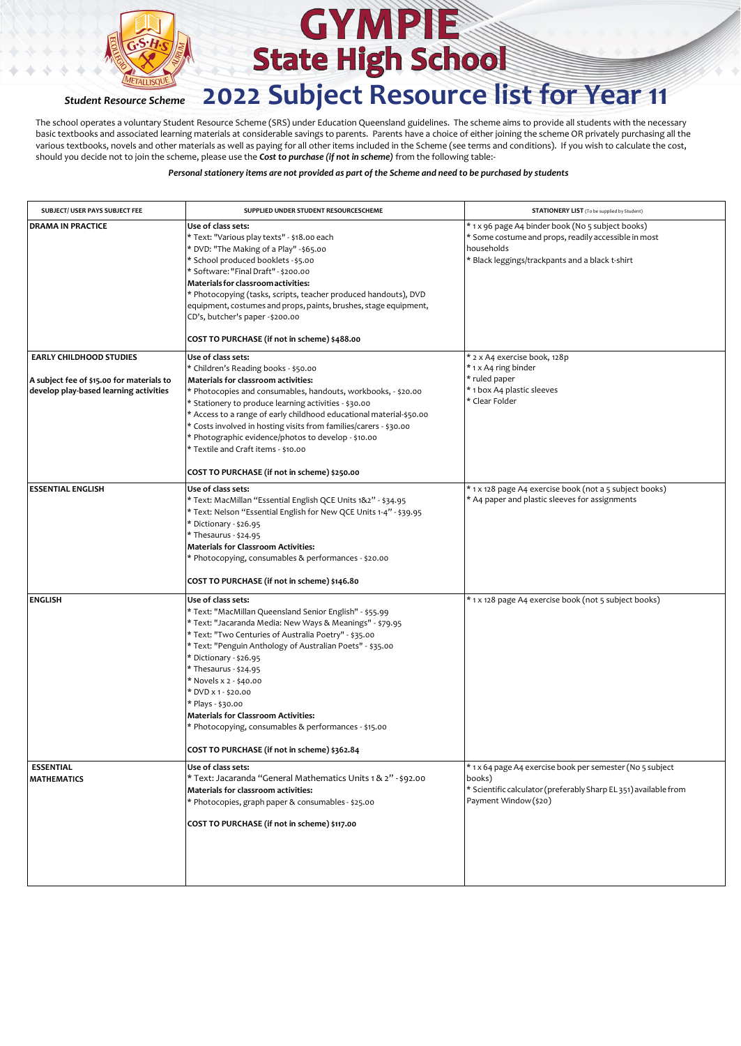

The school operates a voluntary Student Resource Scheme (SRS) under Education Queensland guidelines. The scheme aims to provide all students with the necessary basic textbooks and associated learning materials at considerable savings to parents. Parents have a choice of either joining the scheme OR privately purchasing all the various textbooks, novels and other materials as well as paying for all other items included in the Scheme (see terms and conditions). If you wish to calculate the cost, should you decide not to join the scheme, please use the *Cost to purchase (if not in scheme)* from the following table:-

| SUBJECT/ USER PAYS SUBJECT FEE                                                      | SUPPLIED UNDER STUDENT RESOURCESCHEME                                                                                                                                                                                                                                                                                                                                                                                                                                                                                                          | <b>STATIONERY LIST</b> (To be supplied by Student)                                                                                                                         |
|-------------------------------------------------------------------------------------|------------------------------------------------------------------------------------------------------------------------------------------------------------------------------------------------------------------------------------------------------------------------------------------------------------------------------------------------------------------------------------------------------------------------------------------------------------------------------------------------------------------------------------------------|----------------------------------------------------------------------------------------------------------------------------------------------------------------------------|
| <b>DRAMA IN PRACTICE</b>                                                            | Use of class sets:<br>* Text: "Various play texts" - \$18.00 each<br>* DVD: "The Making of a Play" - \$65.00<br>* School produced booklets - \$5.00<br>* Software: "Final Draft" - \$200.00<br>Materials for classroom activities:<br>* Photocopying (tasks, scripts, teacher produced handouts), DVD<br>equipment, costumes and props, paints, brushes, stage equipment,<br>CD's, butcher's paper - \$200.00<br>COST TO PURCHASE (if not in scheme) \$488.00                                                                                  | * 1 x 96 page A4 binder book (No 5 subject books)<br>* Some costume and props, readily accessible in most<br>households<br>* Black leggings/trackpants and a black t-shirt |
| <b>EARLY CHILDHOOD STUDIES</b>                                                      | Use of class sets:                                                                                                                                                                                                                                                                                                                                                                                                                                                                                                                             | * 2 x A4 exercise book, 128p                                                                                                                                               |
| A subject fee of \$15.00 for materials to<br>develop play-based learning activities | * Children's Reading books - \$50.00<br><b>Materials for classroom activities:</b><br>* Photocopies and consumables, handouts, workbooks, - \$20.00<br>* Stationery to produce learning activities - \$30.00<br>* Access to a range of early childhood educational material-\$50.00<br>* Costs involved in hosting visits from families/carers - \$30.00<br>* Photographic evidence/photos to develop - \$10.00<br>* Textile and Craft items - \$10.00                                                                                         | * 1 x A4 ring binder<br>* ruled paper<br>* 1 box A4 plastic sleeves<br>* Clear Folder                                                                                      |
|                                                                                     | COST TO PURCHASE (if not in scheme) \$250.00                                                                                                                                                                                                                                                                                                                                                                                                                                                                                                   |                                                                                                                                                                            |
| <b>ESSENTIAL ENGLISH</b>                                                            | Use of class sets:<br>* Text: MacMillan "Essential English QCE Units 1&2" - \$34.95<br>* Text: Nelson "Essential English for New QCE Units 1-4" - \$39.95<br>* Dictionary - \$26.95<br>* Thesaurus - \$24.95<br><b>Materials for Classroom Activities:</b><br>* Photocopying, consumables & performances - \$20.00<br>COST TO PURCHASE (if not in scheme) \$146.80                                                                                                                                                                             | * 1 x 128 page A4 exercise book (not a 5 subject books)<br>* A4 paper and plastic sleeves for assignments                                                                  |
| <b>ENGLISH</b>                                                                      | Use of class sets:<br>* Text: "MacMillan Queensland Senior English" - \$55.99<br>* Text: "Jacaranda Media: New Ways & Meanings" - \$79.95<br>* Text: "Two Centuries of Australia Poetry" - \$35.00<br>* Text: "Penguin Anthology of Australian Poets" - \$35.00<br>* Dictionary - \$26.95<br>* Thesaurus - \$24.95<br>* Novels x 2 - \$40.00<br>* DVD x 1 - \$20.00<br>* Plays - \$30.00<br><b>Materials for Classroom Activities:</b><br>* Photocopying, consumables & performances - \$15.00<br>COST TO PURCHASE (if not in scheme) \$362.84 | * 1 x 128 page A4 exercise book (not 5 subject books)                                                                                                                      |
| <b>ESSENTIAL</b><br><b>MATHEMATICS</b>                                              | Use of class sets:<br>* Text: Jacaranda "General Mathematics Units 1 & 2" - \$92.00<br>Materials for classroom activities:<br>* Photocopies, graph paper & consumables - \$25.00<br>COST TO PURCHASE (if not in scheme) \$117.00                                                                                                                                                                                                                                                                                                               | * 1 x 64 page A4 exercise book per semester (No 5 subject<br>books)<br>* Scientific calculator (preferably Sharp EL 351) available from<br>Payment Window (\$20)           |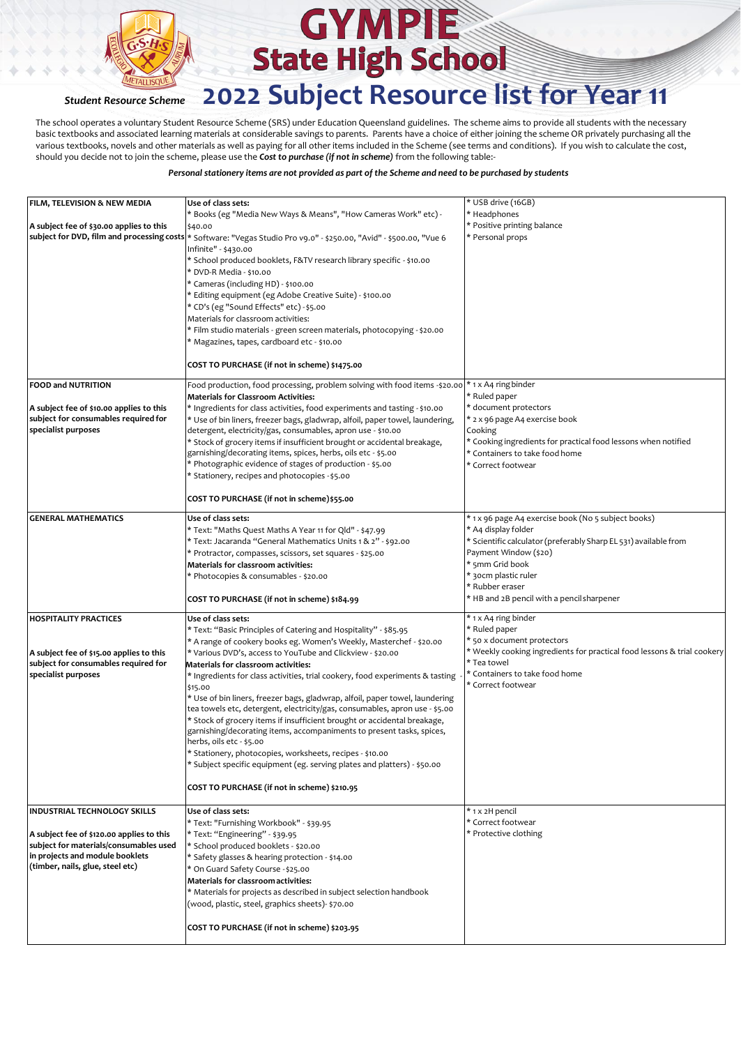

The school operates a voluntary Student Resource Scheme (SRS) under Education Queensland guidelines. The scheme aims to provide all students with the necessary basic textbooks and associated learning materials at considerable savings to parents. Parents have a choice of either joining the scheme OR privately purchasing all the various textbooks, novels and other materials as well as paying for all other items included in the Scheme (see terms and conditions). If you wish to calculate the cost, should you decide not to join the scheme, please use the *Cost to purchase (if not in scheme)* from the following table:-

| FILM, TELEVISION & NEW MEDIA                                                     | Use of class sets:                                                                                                                | * USB drive (16GB)                                                      |
|----------------------------------------------------------------------------------|-----------------------------------------------------------------------------------------------------------------------------------|-------------------------------------------------------------------------|
|                                                                                  | * Books (eg "Media New Ways & Means", "How Cameras Work" etc) -                                                                   | * Headphones                                                            |
| A subject fee of \$30.00 applies to this                                         | \$40.00                                                                                                                           | * Positive printing balance                                             |
|                                                                                  | subject for DVD, film and processing costs * Software: "Vegas Studio Pro v9.0" - \$250.00, "Avid" - \$500.00, "Vue 6              | * Personal props                                                        |
|                                                                                  | Infinite" - \$430.00                                                                                                              |                                                                         |
|                                                                                  | * School produced booklets, F&TV research library specific - \$10.00                                                              |                                                                         |
|                                                                                  | * DVD-R Media - \$10.00                                                                                                           |                                                                         |
|                                                                                  | * Cameras (including HD) - \$100.00                                                                                               |                                                                         |
|                                                                                  | * Editing equipment (eg Adobe Creative Suite) - \$100.00                                                                          |                                                                         |
|                                                                                  | * CD's (eg "Sound Effects" etc) - \$5.00                                                                                          |                                                                         |
|                                                                                  | Materials for classroom activities:                                                                                               |                                                                         |
|                                                                                  | * Film studio materials - green screen materials, photocopying - \$20.00                                                          |                                                                         |
|                                                                                  | * Magazines, tapes, cardboard etc - \$10.00                                                                                       |                                                                         |
|                                                                                  | COST TO PURCHASE (if not in scheme) \$1475.00                                                                                     |                                                                         |
| <b>FOOD and NUTRITION</b>                                                        | Food production, food processing, problem solving with food items -\$20.00                                                        | * 1 x A4 ring binder                                                    |
|                                                                                  | <b>Materials for Classroom Activities:</b>                                                                                        | * Ruled paper                                                           |
| A subject fee of \$10.00 applies to this                                         | * Ingredients for class activities, food experiments and tasting - \$10.00                                                        | * document protectors                                                   |
| subject for consumables required for                                             | * Use of bin liners, freezer bags, gladwrap, alfoil, paper towel, laundering,                                                     | * 2 x 96 page A4 exercise book                                          |
| specialist purposes                                                              | detergent, electricity/gas, consumables, apron use - \$10.00                                                                      | Cooking                                                                 |
|                                                                                  | * Stock of grocery items if insufficient brought or accidental breakage,                                                          | * Cooking ingredients for practical food lessons when notified          |
|                                                                                  | garnishing/decorating items, spices, herbs, oils etc - \$5.00<br>* Photographic evidence of stages of production - \$5.00         | * Containers to take food home<br>* Correct footwear                    |
|                                                                                  | * Stationery, recipes and photocopies - \$5.00                                                                                    |                                                                         |
|                                                                                  |                                                                                                                                   |                                                                         |
|                                                                                  | COST TO PURCHASE (if not in scheme)\$55.00                                                                                        |                                                                         |
| <b>GENERAL MATHEMATICS</b>                                                       | Use of class sets:                                                                                                                | * 1 x 96 page A4 exercise book (No 5 subject books)                     |
|                                                                                  | * Text: "Maths Quest Maths A Year 11 for Qld" - \$47.99                                                                           | * A4 display folder                                                     |
|                                                                                  | * Text: Jacaranda "General Mathematics Units 1 & 2" - \$92.00                                                                     | * Scientific calculator (preferably Sharp EL 531) available from        |
|                                                                                  | * Protractor, compasses, scissors, set squares - \$25.00                                                                          | Payment Window (\$20)                                                   |
|                                                                                  | Materials for classroom activities:                                                                                               | * 5mm Grid book                                                         |
|                                                                                  | * Photocopies & consumables - \$20.00                                                                                             | * 30cm plastic ruler                                                    |
|                                                                                  |                                                                                                                                   | * Rubber eraser                                                         |
|                                                                                  | COST TO PURCHASE (if not in scheme) \$184.99                                                                                      | * HB and 2B pencil with a pencil sharpener                              |
| <b>HOSPITALITY PRACTICES</b>                                                     | Use of class sets:                                                                                                                | * 1 x A4 ring binder                                                    |
|                                                                                  | * Text: "Basic Principles of Catering and Hospitality" - \$85.95                                                                  | * Ruled paper<br>* 50 x document protectors                             |
|                                                                                  | * A range of cookery books eg. Women's Weekly, Masterchef - \$20.00<br>* Various DVD's, access to YouTube and Clickview - \$20.00 | * Weekly cooking ingredients for practical food lessons & trial cookery |
| A subject fee of \$15.00 applies to this<br>subject for consumables required for | Materials for classroom activities:                                                                                               | * Tea towel                                                             |
| specialist purposes                                                              | * Ingredients for class activities, trial cookery, food experiments & tasting                                                     | * Containers to take food home                                          |
|                                                                                  | \$15.00                                                                                                                           | * Correct footwear                                                      |
|                                                                                  | * Use of bin liners, freezer bags, gladwrap, alfoil, paper towel, laundering                                                      |                                                                         |
|                                                                                  | tea towels etc, detergent, electricity/gas, consumables, apron use - \$5.00                                                       |                                                                         |
|                                                                                  | * Stock of grocery items if insufficient brought or accidental breakage,                                                          |                                                                         |
|                                                                                  | garnishing/decorating items, accompaniments to present tasks, spices,                                                             |                                                                         |
|                                                                                  | herbs, oils etc - \$5.00                                                                                                          |                                                                         |
|                                                                                  | Stationery, photocopies, worksheets, recipes - \$10.00                                                                            |                                                                         |
|                                                                                  | * Subject specific equipment (eg. serving plates and platters) - \$50.00                                                          |                                                                         |
|                                                                                  | COST TO PURCHASE (if not in scheme) \$210.95                                                                                      |                                                                         |
| <b>INDUSTRIAL TECHNOLOGY SKILLS</b>                                              | Use of class sets:                                                                                                                | * 1 x 2H pencil                                                         |
|                                                                                  | * Text: "Furnishing Workbook" - \$39.95                                                                                           | * Correct footwear                                                      |
| A subject fee of \$120.00 applies to this                                        | * Text: "Engineering" - \$39.95                                                                                                   | * Protective clothing                                                   |
| subject for materials/consumables used                                           | * School produced booklets - \$20.00                                                                                              |                                                                         |
| in projects and module booklets                                                  | * Safety glasses & hearing protection - \$14.00                                                                                   |                                                                         |
| (timber, nails, glue, steel etc)                                                 | * On Guard Safety Course - \$25.00                                                                                                |                                                                         |
|                                                                                  | Materials for classroom activities:                                                                                               |                                                                         |
|                                                                                  | * Materials for projects as described in subject selection handbook                                                               |                                                                         |
|                                                                                  | (wood, plastic, steel, graphics sheets)- \$70.00                                                                                  |                                                                         |
|                                                                                  |                                                                                                                                   |                                                                         |
|                                                                                  | COST TO PURCHASE (if not in scheme) \$203.95                                                                                      |                                                                         |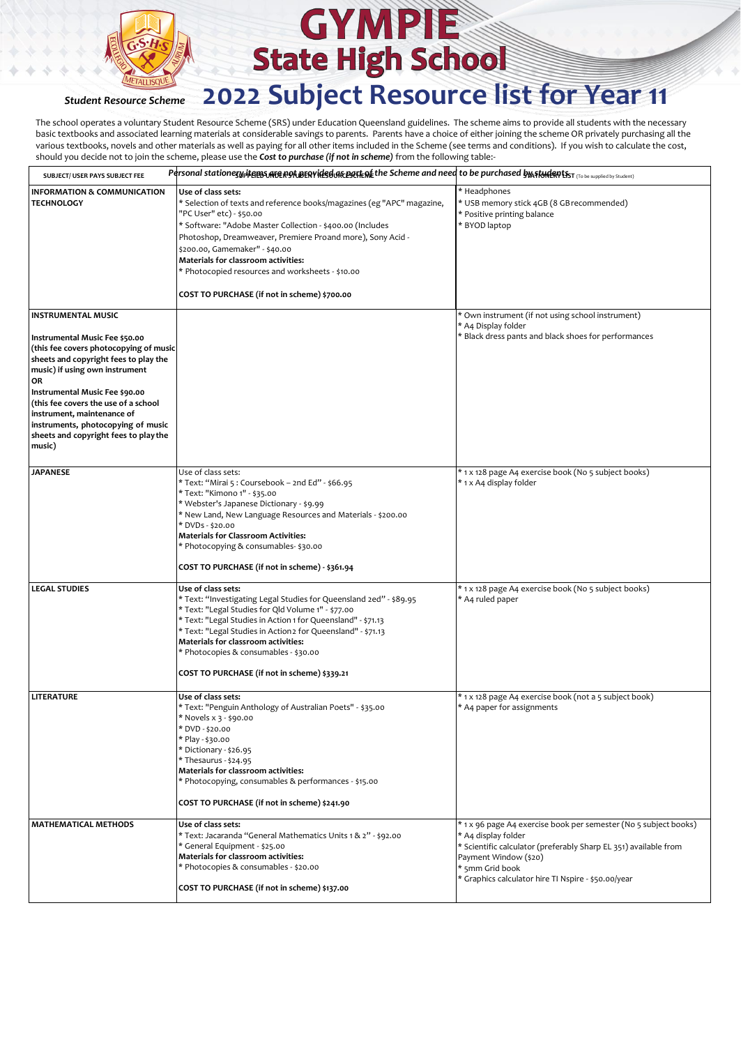

## **GYMPIE State High School**

### *Student Resource Scheme* **2022 Subject Resource list for Year 11**

The school operates a voluntary Student Resource Scheme (SRS) under Education Queensland guidelines. The scheme aims to provide all students with the necessary basic textbooks and associated learning materials at considerable savings to parents. Parents have a choice of either joining the scheme OR privately purchasing all the various textbooks, novels and other materials as well as paying for all other items included in the Scheme (see terms and conditions). If you wish to calculate the cost, should you decide not to join the scheme, please use the *Cost to purchase (if not in scheme)* from the following table:-

| SUBJECT/ USER PAYS SUBJECT FEE                                                                                                                                                                                                                                                                                                                             | Personal stationezy <sub>P</sub> items MERPINERPINES URE BETEME the Scheme and need to be purchased by Aflune RPIST (To be supplied by Student)                                                                                                                                                                                                                                                                                  |                                                                                                                                                                                                                                                                |
|------------------------------------------------------------------------------------------------------------------------------------------------------------------------------------------------------------------------------------------------------------------------------------------------------------------------------------------------------------|----------------------------------------------------------------------------------------------------------------------------------------------------------------------------------------------------------------------------------------------------------------------------------------------------------------------------------------------------------------------------------------------------------------------------------|----------------------------------------------------------------------------------------------------------------------------------------------------------------------------------------------------------------------------------------------------------------|
| <b>INFORMATION &amp; COMMUNICATION</b><br><b>TECHNOLOGY</b>                                                                                                                                                                                                                                                                                                | Use of class sets:<br>* Selection of texts and reference books/magazines (eg "APC" magazine,<br>"PC User" etc) - \$50.00<br>* Software: "Adobe Master Collection - \$400.00 (Includes<br>Photoshop, Dreamweaver, Premiere Proand more), Sony Acid -<br>\$200.00, Gamemaker" - \$40.00<br>Materials for classroom activities:<br>* Photocopied resources and worksheets - \$10.00<br>COST TO PURCHASE (if not in scheme) \$700.00 | * Headphones<br>* USB memory stick 4GB (8 GB recommended)<br>* Positive printing balance<br>* BYOD laptop                                                                                                                                                      |
| INSTRUMENTAL MUSIC                                                                                                                                                                                                                                                                                                                                         |                                                                                                                                                                                                                                                                                                                                                                                                                                  | * Own instrument (if not using school instrument)                                                                                                                                                                                                              |
| Instrumental Music Fee \$50.00<br>(this fee covers photocopying of music<br>sheets and copyright fees to play the<br>music) if using own instrument<br>OR<br>Instrumental Music Fee \$90.00<br>(this fee covers the use of a school<br>instrument, maintenance of<br>instruments, photocopying of music<br>sheets and copyright fees to play the<br>music) |                                                                                                                                                                                                                                                                                                                                                                                                                                  | * A4 Display folder<br>* Black dress pants and black shoes for performances                                                                                                                                                                                    |
| <b>JAPANESE</b>                                                                                                                                                                                                                                                                                                                                            | Use of class sets:<br>* Text: "Mirai 5 : Coursebook – 2nd Ed" - \$66.95<br>* Text: "Kimono 1" - \$35.00<br>* Webster's Japanese Dictionary - \$9.99<br>* New Land, New Language Resources and Materials - \$200.00<br>* DVDs - \$20.00<br><b>Materials for Classroom Activities:</b><br>* Photocopying & consumables- \$30.00<br>COST TO PURCHASE (if not in scheme) - \$361.94                                                  | * 1 x 128 page A4 exercise book (No 5 subject books)<br>* 1 x A4 display folder                                                                                                                                                                                |
| <b>LEGAL STUDIES</b>                                                                                                                                                                                                                                                                                                                                       | Use of class sets:<br>* Text: "Investigating Legal Studies for Queensland 2ed" - \$89.95<br>* Text: "Legal Studies for Qld Volume 1" - \$77.00<br>* Text: "Legal Studies in Action 1 for Queensland" - \$71.13<br>* Text: "Legal Studies in Action2 for Queensland" - \$71.13<br>Materials for classroom activities:<br>* Photocopies & consumables - \$30.00<br>COST TO PURCHASE (if not in scheme) \$339.21                    | * 1 x 128 page A4 exercise book (No 5 subject books)<br>* A4 ruled paper                                                                                                                                                                                       |
| <b>LITERATURE</b>                                                                                                                                                                                                                                                                                                                                          | Use of class sets:<br>* Text: "Penguin Anthology of Australian Poets" - \$35.00<br>* Novels x 3 - \$90.00<br>* DVD - \$20.00<br>* Play - \$30.00<br>* Dictionary - \$26.95<br>* Thesaurus - \$24.95<br>Materials for classroom activities:<br>* Photocopying, consumables & performances - \$15.00<br>COST TO PURCHASE (if not in scheme) \$241.90                                                                               | * 1 x 128 page A4 exercise book (not a 5 subject book)<br>* A4 paper for assignments                                                                                                                                                                           |
| <b>MATHEMATICAL METHODS</b>                                                                                                                                                                                                                                                                                                                                | Use of class sets:<br>* Text: Jacaranda "General Mathematics Units 1 & 2" - \$92.00<br>* General Equipment - \$25.00<br>Materials for classroom activities:<br>* Photocopies & consumables - \$20.00<br>COST TO PURCHASE (if not in scheme) \$137.00                                                                                                                                                                             | * 1 x 96 page A4 exercise book per semester (No 5 subject books)<br>* A4 display folder<br>* Scientific calculator (preferably Sharp EL 351) available from<br>Payment Window (\$20)<br>* 5mm Grid book<br>* Graphics calculator hire TI Nspire - \$50.00/year |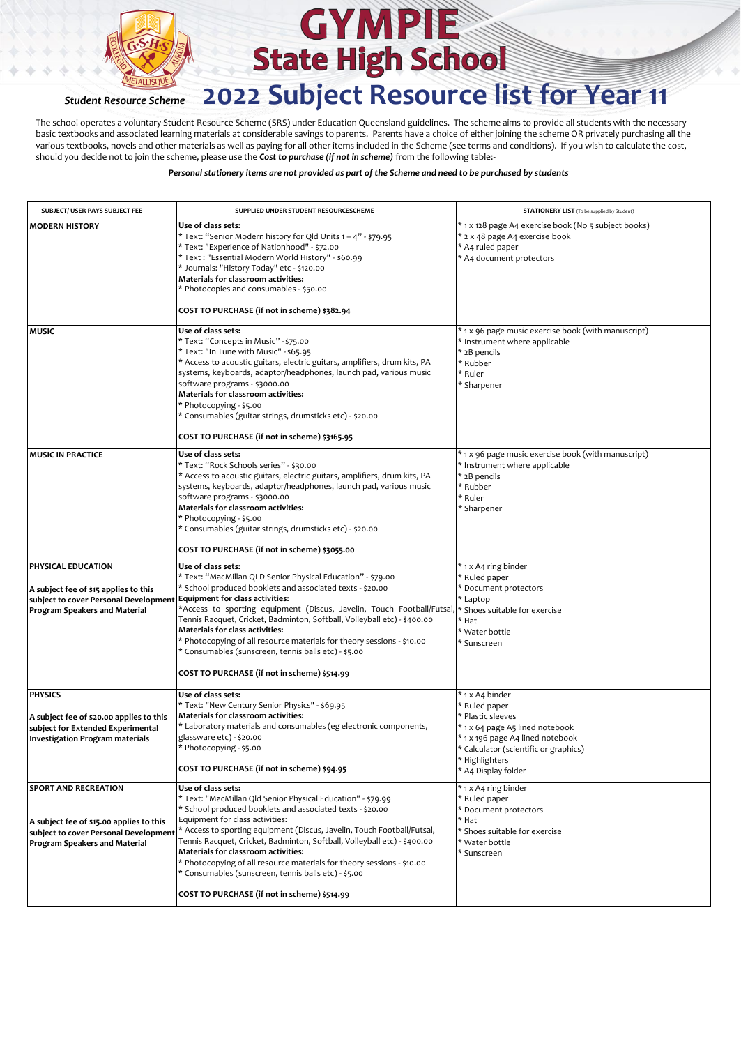

The school operates a voluntary Student Resource Scheme (SRS) under Education Queensland guidelines. The scheme aims to provide all students with the necessary basic textbooks and associated learning materials at considerable savings to parents. Parents have a choice of either joining the scheme OR privately purchasing all the various textbooks, novels and other materials as well as paying for all other items included in the Scheme (see terms and conditions). If you wish to calculate the cost, should you decide not to join the scheme, please use the *Cost to purchase (if not in scheme)* from the following table:-

| SUBJECT/ USER PAYS SUBJECT FEE                                                                                                                    | SUPPLIED UNDER STUDENT RESOURCESCHEME                                                                                                                                                                                                                                                                                                                                                                                                                                                                                                                                                             | <b>STATIONERY LIST</b> (To be supplied by Student)                                                                                                                                                             |
|---------------------------------------------------------------------------------------------------------------------------------------------------|---------------------------------------------------------------------------------------------------------------------------------------------------------------------------------------------------------------------------------------------------------------------------------------------------------------------------------------------------------------------------------------------------------------------------------------------------------------------------------------------------------------------------------------------------------------------------------------------------|----------------------------------------------------------------------------------------------------------------------------------------------------------------------------------------------------------------|
| <b>MODERN HISTORY</b>                                                                                                                             | Use of class sets:<br>* Text: "Senior Modern history for Qld Units 1 – 4" - \$79.95<br>* Text: "Experience of Nationhood" - \$72.00<br>* Text : "Essential Modern World History" - \$60.99<br>* Journals: "History Today" etc - \$120.00<br>Materials for classroom activities:<br>* Photocopies and consumables - \$50.00<br>COST TO PURCHASE (if not in scheme) \$382.94                                                                                                                                                                                                                        | * 1 x 128 page A4 exercise book (No 5 subject books)<br>* 2 x 48 page A4 exercise book<br>* A4 ruled paper<br>* A4 document protectors                                                                         |
|                                                                                                                                                   |                                                                                                                                                                                                                                                                                                                                                                                                                                                                                                                                                                                                   |                                                                                                                                                                                                                |
| <b>MUSIC</b>                                                                                                                                      | Use of class sets:<br>* Text: "Concepts in Music" - \$75.00<br>* Text: "In Tune with Music" - \$65.95<br>* Access to acoustic guitars, electric guitars, amplifiers, drum kits, PA<br>systems, keyboards, adaptor/headphones, launch pad, various music<br>software programs - \$3000.00<br>Materials for classroom activities:<br>* Photocopying - \$5.00<br>* Consumables (guitar strings, drumsticks etc) - \$20.00<br>COST TO PURCHASE (if not in scheme) \$3165.95                                                                                                                           | * 1 x 96 page music exercise book (with manuscript)<br>* Instrument where applicable<br>* 2B pencils<br>* Rubber<br>* Ruler<br>* Sharpener                                                                     |
| <b>MUSIC IN PRACTICE</b>                                                                                                                          | Use of class sets:<br>* Text: "Rock Schools series" - \$30.00<br>* Access to acoustic guitars, electric guitars, amplifiers, drum kits, PA<br>systems, keyboards, adaptor/headphones, launch pad, various music<br>software programs - \$3000.00<br>Materials for classroom activities:<br>* Photocopying - \$5.00<br>* Consumables (guitar strings, drumsticks etc) - \$20.00                                                                                                                                                                                                                    | *1 x 96 page music exercise book (with manuscript)<br>* Instrument where applicable<br>* 2B pencils<br>* Rubber<br>* Ruler<br>* Sharpener                                                                      |
|                                                                                                                                                   | COST TO PURCHASE (if not in scheme) \$3055.00                                                                                                                                                                                                                                                                                                                                                                                                                                                                                                                                                     |                                                                                                                                                                                                                |
| PHYSICAL EDUCATION<br>A subject fee of \$15 applies to this<br>subject to cover Personal Development<br>Program Speakers and Material             | Use of class sets:<br>* Text: "MacMillan QLD Senior Physical Education" - \$79.00<br>* School produced booklets and associated texts - \$20.00<br><b>Equipment for class activities:</b><br>*Access to sporting equipment (Discus, Javelin, Touch Football/Futsal, * Shoes suitable for exercise<br>Tennis Racquet, Cricket, Badminton, Softball, Volleyball etc) - \$400.00<br>Materials for class activities:<br>* Photocopying of all resource materials for theory sessions - \$10.00<br>* Consumables (sunscreen, tennis balls etc) - \$5.00<br>COST TO PURCHASE (if not in scheme) \$514.99 | * 1 x A4 ring binder<br>* Ruled paper<br>* Document protectors<br>* Laptop<br>* Hat<br>* Water bottle<br>* Sunscreen                                                                                           |
| <b>PHYSICS</b><br>A subject fee of \$20.00 applies to this<br>subject for Extended Experimental<br><b>Investigation Program materials</b>         | Use of class sets:<br>* Text: "New Century Senior Physics" - \$69.95<br>Materials for classroom activities:<br>* Laboratory materials and consumables (eg electronic components,<br>glassware etc) - \$20.00<br>* Photocopying - \$5.00<br>COST TO PURCHASE (if not in scheme) \$94.95                                                                                                                                                                                                                                                                                                            | * 1 x A4 binder<br>* Ruled paper<br>* Plastic sleeves<br>* 1 x 64 page A5 lined notebook<br>* 1 x 196 page A4 lined notebook<br>* Calculator (scientific or graphics)<br>* Highlighters<br>* A4 Display folder |
| <b>SPORT AND RECREATION</b><br>A subject fee of \$15.00 applies to this<br>subject to cover Personal Development<br>Program Speakers and Material | Use of class sets:<br>* Text: "MacMillan Qld Senior Physical Education" - \$79.99<br>* School produced booklets and associated texts - \$20.00<br>Equipment for class activities:<br>* Access to sporting equipment (Discus, Javelin, Touch Football/Futsal,<br>Tennis Racquet, Cricket, Badminton, Softball, Volleyball etc) - \$400.00<br>Materials for classroom activities:<br>* Photocopying of all resource materials for theory sessions - \$10.00<br>* Consumables (sunscreen, tennis balls etc) - \$5.00<br>COST TO PURCHASE (if not in scheme) \$514.99                                 | * 1 x A4 ring binder<br>* Ruled paper<br>* Document protectors<br>* Hat<br>* Shoes suitable for exercise<br>* Water bottle<br>* Sunscreen                                                                      |